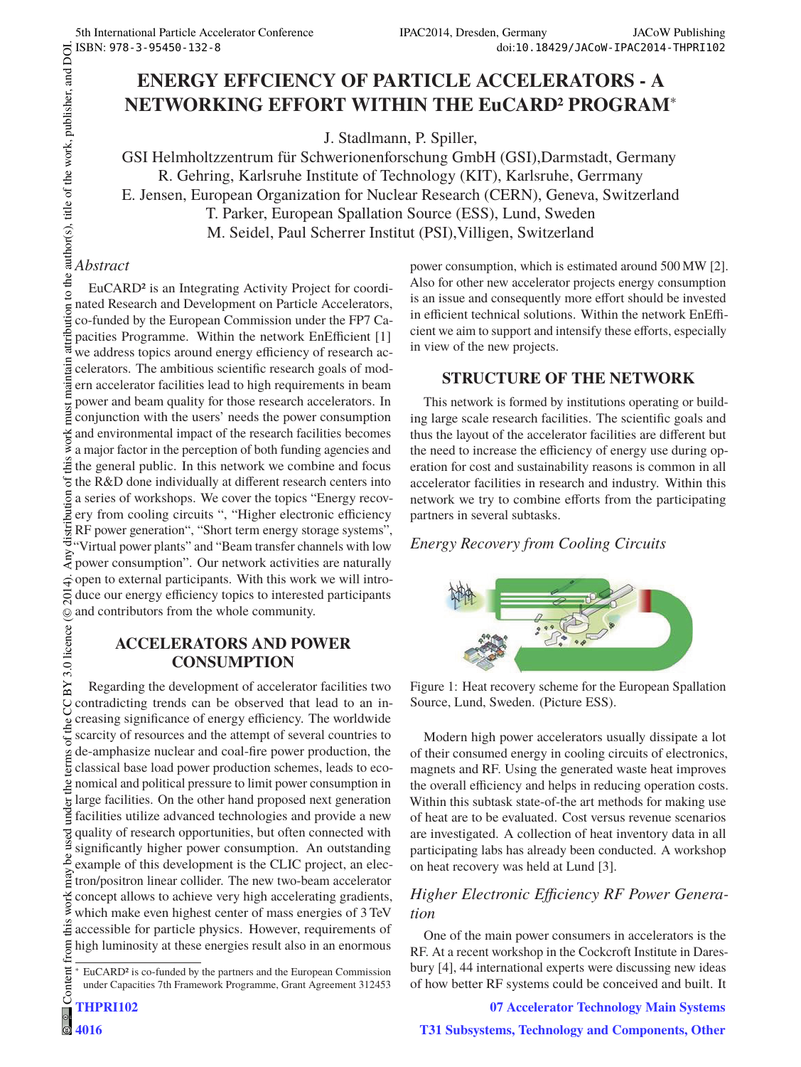# **ENERGY EFFCIENCY OF PARTICLE ACCELERATORS - A NETWORKING EFFORT WITHIN THE EuCARD2 PROGRAM**<sup>∗</sup>

J. Stadlmann, P. Spiller,

GSI Helmholtzzentrum für Schwerionenforschung GmbH (GSI),Darmstadt, Germany R. Gehring, Karlsruhe Institute of Technology (KIT), Karlsruhe, Gerrmany E. Jensen, European Organization for Nuclear Research (CERN), Geneva, Switzerland T. Parker, European Spallation Source (ESS), Lund, Sweden M. Seidel, Paul Scherrer Institut (PSI),Villigen, Switzerland

### Abstract

*Abstract* EuCARD2 is an Integrating Activity Project for coordinated Research and Development on Particle Accelerators, co-funded by the European Commission under the FP7 Capacities Programme. Within the network EnEfficient [1] we address topics around energy efficiency of research accelerators. The ambitious scientific research goals of modern accelerator facilities lead to high requirements in beam power and beam quality for those research accelerators. In conjunction with the users' needs the power consumption and environmental impact of the research facilities becomes a major factor in the perception of both funding agencies and  $\ddot{\ddot{\Xi}}$  the general public. In this network we combine and focus the R&D done individually at different research centers into a series of workshops. We cover the topics "Energy recovery from cooling circuits ", "Higher electronic efficiency RF power generation", "Short term energy storage systems", "Virtual power plants" and "Beam transfer channels with low power consumption". Our network activities are naturally  $\vec{\tau}$  open to external participants. With this work we will introduce our energy efficiency topics to interested participants and contributors from the whole community. ©

### **ACCELERATORS AND POWER CONSUMPTION**

Content from this work may be used under the terms of the CC BY 3.0 licence ( $\epsilon$ Regarding the development of accelerator facilities two g contradicting trends can be observed that lead to an increasing significance of energy efficiency. The worldwide terms of the scarcity of resources and the attempt of several countries to de-amphasize nuclear and coal-fire power production, the classical base load power production schemes, leads to economical and political pressure to limit power consumption in large facilities. On the other hand proposed next generation  $\overline{5}$ Ĕ facilities utilize advanced technologies and provide a new quality of research opportunities, but often connected with significantly higher power consumption. An outstanding ಹಿ example of this development is the CLIC project, an electron/positron linear collider. The new two-beam accelerator work concept allows to achieve very high accelerating gradients, which make even highest center of mass energies of 3 TeV this accessible for particle physics. However, requirements of from high luminosity at these energies result also in an enormous

power consumption, which is estimated around 500 MW [2]. Also for other new accelerator projects energy consumption is an issue and consequently more effort should be invested in efficient technical solutions. Within the network EnEfficient we aim to support and intensify these efforts, especially in view of the new projects.

## **STRUCTURE OF THE NETWORK**

This network is formed by institutions operating or building large scale research facilities. The scientific goals and thus the layout of the accelerator facilities are different but the need to increase the efficiency of energy use during operation for cost and sustainability reasons is common in all accelerator facilities in research and industry. Within this network we try to combine efforts from the participating partners in several subtasks.

# *Energy Recovery from Cooling Circuits*



Figure 1: Heat recovery scheme for the European Spallation Source, Lund, Sweden. (Picture ESS).

Modern high power accelerators usually dissipate a lot of their consumed energy in cooling circuits of electronics, magnets and RF. Using the generated waste heat improves the overall efficiency and helps in reducing operation costs. Within this subtask state-of-the art methods for making use of heat are to be evaluated. Cost versus revenue scenarios are investigated. A collection of heat inventory data in all participating labs has already been conducted. A workshop on heat recovery was held at Lund [3].

# *Higher Electronic Efficiency RF Power Genera-*

*tion* One of the main power consumers in accelerators is the RF. At a recent workshop in the Cockcroft Institute in Daresbury [4], 44 international experts were discussing new ideas of how better RF systems could be conceived and built. It

**07 Accelerator Technology Main Systems**

**T31 Subsystems, Technology and Components, Other**

EuCARD<sup>2</sup> is co-funded by the partners and the European Commission under Capacities 7th Framework Programme, Grant Agreement 312453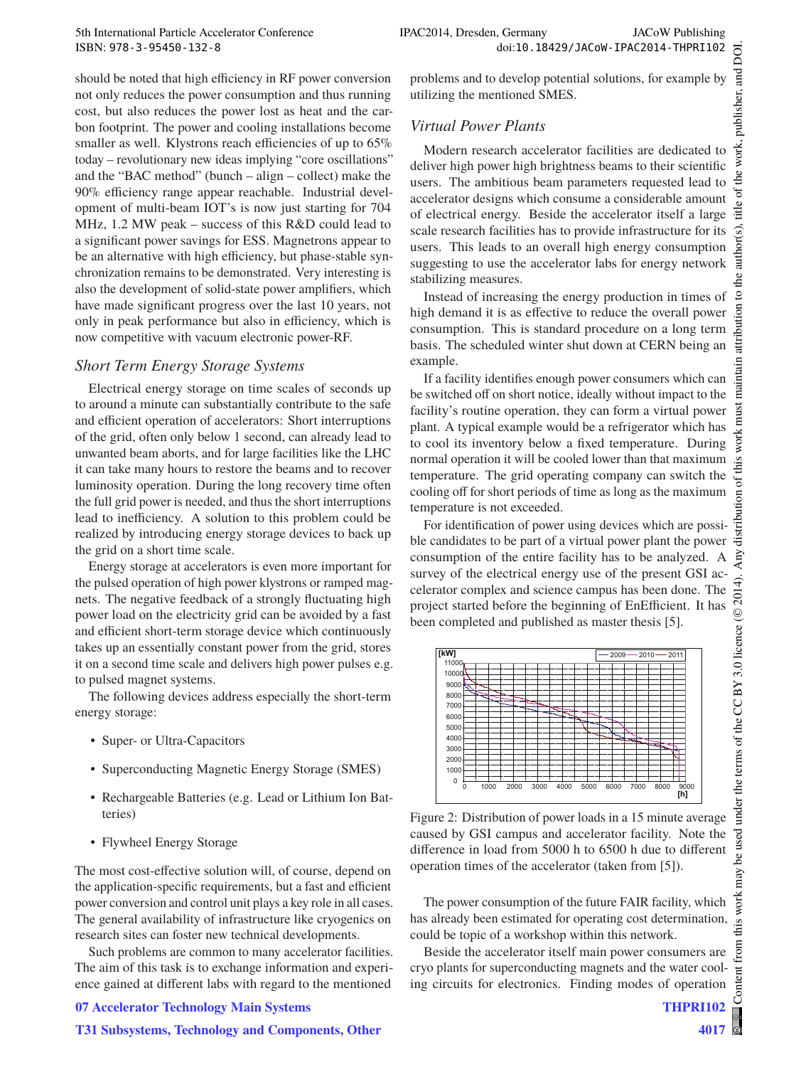should be noted that high efficiency in RF power conversion not only reduces the power consumption and thus running cost, but also reduces the power lost as heat and the carbon footprint. The power and cooling installations become smaller as well. Klystrons reach efficiencies of up to 65% today – revolutionary new ideas implying "core oscillations" and the "BAC method" (bunch – align – collect) make the 90% efficiency range appear reachable. Industrial development of multi-beam IOT's is now just starting for 704 MHz, 1.2 MW peak – success of this R&D could lead to a significant power savings for ESS. Magnetrons appear to be an alternative with high efficiency, but phase-stable synchronization remains to be demonstrated. Very interesting is also the development of solid-state power amplifiers, which have made significant progress over the last 10 years, not only in peak performance but also in efficiency, which is now competitive with vacuum electronic power-RF.

Electrical energy storage on time scales of seconds up to around a minute can substantially contribute to the safe and efficient operation of accelerators: Short interruptions of the grid, often only below 1 second, can already lead to unwanted beam aborts, and for large facilities like the LHC it can take many hours to restore the beams and to recover luminosity operation. During the long recovery time often the full grid power is needed, and thus the short interruptions lead to inefficiency. A solution to this problem could be realized by introducing energy storage devices to back up the grid on a short time scale.

Energy storage at accelerators is even more important for the pulsed operation of high power klystrons or ramped magnets. The negative feedback of a strongly fluctuating high power load on the electricity grid can be avoided by a fast and efficient short-term storage device which continuously takes up an essentially constant power from the grid, stores it on a second time scale and delivers high power pulses e.g. to pulsed magnet systems.

The following devices address especially the short-term energy storage:

- Super- or Ultra-Capacitors
- Superconducting Magnetic Energy Storage (SMES)
- Rechargeable Batteries (e.g. Lead or Lithium Ion Batteries)
- Flywheel Energy Storage

The most cost-effective solution will, of course, depend on the application-specific requirements, but a fast and efficient power conversion and control unit plays a key role in all cases. The general availability of infrastructure like cryogenics on research sites can foster new technical developments.

Such problems are common to many accelerator facilities. The aim of this task is to exchange information and experience gained at different labs with regard to the mentioned

#### **07 Accelerator Technology Main Systems**

#### **T31 Subsystems, Technology and Components, Other**

problems and to develop potential solutions, for example by utilizing the mentioned SMES.

#### **Virtual Power Plants**

*Virtual Power Plants* Modern research accelerator facilities are dedicated to deliver high power high brightness beams to their scientific users. The ambitious beam parameters requested lead to accelerator designs which consume a considerable amount of electrical energy. Beside the accelerator itself a large scale research facilities has to provide infrastructure for its users. This leads to an overall high energy consumption suggesting to use the accelerator labs for energy network stabilizing measures.

Instead of increasing the energy production in times of high demand it is as effective to reduce the overall power consumption. This is standard procedure on a long term basis. The scheduled winter shut down at CERN being an example.

If a facility identifies enough power consumers which can be switched off on short notice, ideally without impact to the facility's routine operation, they can form a virtual power plant. A typical example would be a refrigerator which has to cool its inventory below a fixed temperature. During normal operation it will be cooled lower than that maximum temperature. The grid operating company can switch the cooling off for short periods of time as long as the maximum temperature is not exceeded.

For identification of power using devices which are possible candidates to be part of a virtual power plant the power consumption of the entire facility has to be analyzed. A survey of the electrical energy use of the present GSI accelerator complex and science campus has been done. The project started before the beginning of EnEfficient. It has been completed and published as master thesis [5].



Figure 2: Distribution of power loads in a 15 minute average caused by GSI campus and accelerator facility. Note the difference in load from 5000 h to 6500 h due to different operation times of the accelerator (taken from [5]).

The power consumption of the future FAIR facility, which has already been estimated for operating cost determination, could be topic of a workshop within this network.

Beside the accelerator itself main power consumers are cryo plants for superconducting magnets and the water cooling circuits for electronics. Finding modes of operation